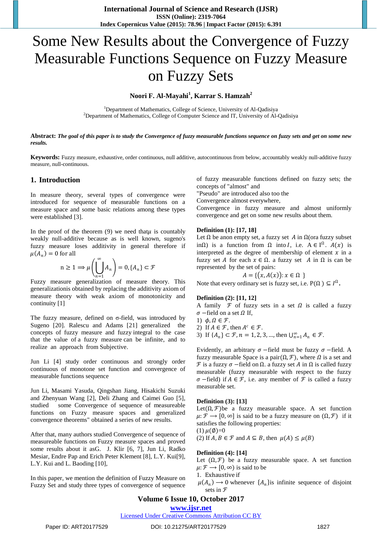# Some New Results about the Convergence of Fuzzy Measurable Functions Sequence on Fuzzy Measure on Fuzzy Sets

# **Noori F. Al-Mayahi<sup>1</sup> , Karrar S. Hamzah<sup>2</sup>**

<sup>1</sup>Department of Mathematics, College of Science, University of Al-Qadisiya <sup>2</sup>Department of Mathematics, College of Computer Science and IT, University of Al-Qadisiya

**Abstract:** *The goal of this paper is to study the Convergence of fuzzy measurable functions sequence on fuzzy sets and get on some new results.*

**Keywords:** Fuzzy measure, exhaustive, order continuous, null additive, autocontinuous from below, accountably weakly null-additive fuzzy measure, null-continuous.

## **1. Introduction**

In measure theory, several types of convergence were introduced for sequence of measurable functions on a measure space and some basic relations among these types were established [3].

In the proof of the theorem  $(9)$  we need that  $\mu$  is countably weakly null-additive because as is well known, sugeno's fuzzy measure loses additivity in general therefore if  $\mu(A_n) = 0$  for all

$$
n \ge 1 \Longrightarrow \mu\left(\bigcup_{n=1}^{\infty} A_n\right) = 0, \{A_n\} \subset \mathcal{F}
$$

Fuzzy measure generalization of measure theory. This generalizationis obtained by replacing the additivity axiom of measure theory with weak axiom of monotonicity and continuity [1]

The fuzzy measure, defined on σ-field, was introduced by Sugeno [20]. Ralescu and Adams [21] generalized the concepts of fuzzy measure and fuzzy integral to the case that the value of a fuzzy measure can be infinite, and to realize an approach from Subjective.

Jun Li [4] study order continuous and strongly order continuous of monotone set function and convergence of measurable functions sequence

Jun Li, Masami Yasuda, Qingshan Jiang, Hisakichi Suzuki and Zhenyuan Wang [2], Deli Zhang and Caimei Guo [5], studied some Convergence of sequence of measureable functions on Fuzzy measure spaces and generalized convergence theorems" obtained a series of new results.

After that, many authors studied Convergence of sequence of measureable functions on Fuzzy measure spaces and proved some results about it asG. J. Klir [6, 7], Jun Li, Radko Mesiar, Endre Pap and Erich Peter Klement [8], L.Y. Kui[9], L.Y. Kui and L. Baoding [10],

In this paper, we mention the definition of Fuzzy Measure on Fuzzy Set and study three types of convergence of sequence of fuzzy measurable functions defined on fuzzy sets; the concepts of "almost" and

"Pseudo" are introduced also too the

Convergence almost everywhere,

Convergence in fuzzy measure and almost uniformly convergence and get on some new results about them.

#### **Definition (1): [17, 18]**

Let  $\Omega$  be anon empty set, a fuzzy set A in  $\Omega$ (ora fuzzy subset inΩ) is a function from  $\Omega$  into *I*, i.e.  $A \in I^{\Omega}$ .  $A(x)$  is interpreted as the degree of membership of element  $x$  in a fuzzy set A for each  $x \in \Omega$ . a fuzzy set A in  $\Omega$  is can be represented by the set of pairs:

$$
A = \{ (x, A(x)) : x \in \Omega \}
$$

Note that every ordinary set is fuzzy set, i.e.  $P(\Omega) \subseteq I^{\Omega}$ .

#### **Definition (2): [11, 12]**

A family  $\mathcal F$  of fuzzy sets in a set  $\Omega$  is called a fuzzy  $\sigma$  −field on a set  $\Omega$  If,

1)  $\phi, \Omega \in \mathcal{F}$ .

2) If  $A \in \mathcal{F}$ , then  $A^c \in \mathcal{F}$ .

3) If  $\{A_n\} \subset \mathcal{F}$ ,  $n = 1, 2, 3, ...$ , then  $\bigcup_{n=1}^{\infty} A_n \in \mathcal{F}$ .

Evidently, an arbitrary  $\sigma$  –field must be fuzzy  $\sigma$  –field. A fuzzy measurable Space is a pair $(\Omega, \mathcal{F})$ , where  $\Omega$  is a set and  $\mathcal F$  is a fuzzy  $\sigma$  −field on  $\Omega$ . a fuzzy set  $A$  in  $\Omega$  is called fuzzy measurable (fuzzy measurable with respect to the fuzzy  $\sigma$  −field) if  $A \in \mathcal{F}$ , i.e. any member of  $\mathcal F$  is called a fuzzy measurable set.

#### **Definition (3): [13]**

Let( $\Omega$ ,  $\mathcal{F}$ )be a fuzzy measurable space. A set function  $\mu: \mathcal{F} \longrightarrow [0, \infty]$  is said to be a fuzzy measure on  $(\Omega, \mathcal{F})$  if it satisfies the following properties: (1)  $\mu(\emptyset)=0$ 

(2) If  $A, B \in \mathcal{F}$  and  $A \subseteq B$ , then  $\mu(A) \leq \mu(B)$ 

#### **Definition (4): [14]**

Let  $(Ω, F)$  be a fuzzy measurable space. A set function  $\mu: \mathcal{F} \longrightarrow [0, \infty)$  is said to be

1. Exhaustive if

 $\mu(A_n) \to 0$  whenever  $\{A_n\}$ is infinite sequence of disjoint sets in  $\mathcal F$ 

# **Volume 6 Issue 10, October 2017**

# **<www.ijsr.net>**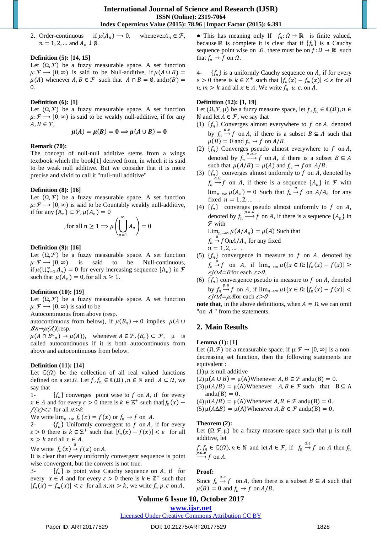2. Order-continuous if  $\mu(A_n) \to 0$ , whenever  $A_n \in \mathcal{F}$ ,  $n = 1, 2, ...$  and  $A_n \downarrow \emptyset$ .

#### **Definition (5): [14, 15]**

Let  $(\Omega, \mathcal{F})$  be a fuzzy measurable space. A set function  $\mu: \mathcal{F} \longrightarrow [0, \infty)$  is said to be Null-additive, if  $\mu(A \cup B) =$  $\mu(A)$  whenever  $A, B \in \mathcal{F}$  such that  $A \cap B = \emptyset$ , and  $\mu(B) =$ 0.

#### **Definition (6): [1]**

Let  $(\Omega, \mathcal{F})$  be a fuzzy measurable space. A set function  $\mu: \mathcal{F} \longrightarrow [0, \infty)$  is said to be weakly null-additive, if for any  $A, B \in \mathcal{F}$ ,

$$
\mu(A) = \mu(B) = 0 \Rightarrow \mu(A \cup B) = 0
$$

#### **Remark (70):**

The concept of null-null additive stems from a wings textbook which the book[1] derived from, in which it is said to be weak null additive. But we consider that it is more precise and vivid to call it "null-null additive"

#### **Definition (8): [16]**

Let  $(\Omega, \mathcal{F})$  be a fuzzy measurable space. A set function  $\mu: \mathcal{F} \longrightarrow [0, \infty)$  is said to be Countably weakly null-additive, if for any  $\{A_n\} \subset \mathcal{F}, \mu(A_n) = 0$ 

for all 
$$
n \ge 1 \Rightarrow \mu\left(\bigcup_{n=1}^{\infty} A_n\right) = 0
$$

#### **Definition (9): [16]**

Let  $(\Omega, \mathcal{F})$  be a fuzzy measurable space. A set function  $\mu: \mathcal{F} \longrightarrow [0, \infty)$  is said to be Null-continuous, if  $\mu(\bigcup_{n=1}^{\infty} A_n) = 0$  for every increasing sequence  $\{A_n\}$  in  $\mathcal F$ such that  $\mu(A_n) = 0$ , for all  $n \ge 1$ .

#### **Definition (10): [19]**

Let  $(\Omega, \mathcal{F})$  be a fuzzy measurable space. A set function  $\mu: \mathcal{F} \longrightarrow [0, \infty)$  is said to be

Autocontinuous from above (resp.

autocontinuous from below), if  $\mu(B_n) \to 0$  implies  $\mu(A \cup$  $Bn \rightarrow \mu(A)$ (resp.

 $\mu(A \cap B^c_n) \to \mu(A)$ , whenever  $A \in \mathcal{F}, \{B_n\} \subset \mathcal{F}, \mu$  is called autocontinuous if it is both autocontinuous from above and autocontinuous from below.

#### **Definition (11): [14]**

Let  $\mathbb{C}(\Omega)$  be the collection of all real valued functions defined on a set  $\Omega$ . Let  $f, f_n \in \mathbb{C}(\Omega)$ ,  $n \in \mathbb{N}$  and  $A \subset \Omega$ , we say that

1-  $\{f_n\}$  converges point wise to f on A, if for every  $x \in A$  and for every  $\varepsilon > 0$  there is  $k \in \mathbb{Z}^+$  such that  $|f_n(x)$  $f(x) < \varepsilon$  for all  $n > k$ .

We write  $\lim_{n\to\infty} f_n(x) = f(x)$  or  $f_n \to f$  on A.

2-  $\{f_n\}$  Uniformly convergent to f on A, if for every  $\varepsilon > 0$  there is  $k \in \mathbb{Z}^+$  such that  $|f_n(x) - f(x)| < \varepsilon$  for all  $n > k$  and all  $x \in A$ .

We write  $f_n(x) \stackrel{u}{\rightarrow} f(x)$  on A.

It is clear that every uniformly convergent sequence is point wise convergent, but the convers is not true.

3-  $\{f_n\}$  is point wise Cauchy sequence on A, if for every  $x \in A$  and for every  $\varepsilon > 0$  there is  $k \in \mathbb{Z}^+$  such that  $|f_n(x) - f_m(x)| < \varepsilon$  for all  $n, m > k$ , we write  $f_n p$ .  $c$  on  $A$ .

• This has meaning only If  $f_n: \Omega \to \mathbb{R}$  is finite valued, because ℝ is complete it is clear that if  $\{f_n\}$  is a Cauchy sequence point wise on  $\Omega$ , there must be on  $f: \Omega \to \mathbb{R}$  such that  $f_n \to f$  on  $\Omega$ .

4-  $\{f_n\}$  is a uniformly Cauchy sequence on A, if for every  $\varepsilon > 0$  there is  $k \in \mathbb{Z}^+$  such that  $|f_n(x) - f_m(x)| < \varepsilon$  for all  $n, m > k$  and all  $x \in A$ . We write  $f_n$  u.c. on A.

#### **Definition (12): [1, 19]**

Let  $(\Omega, \mathcal{F}, \mu)$  be a fuzzy measure space, let  $f, f_n \in \mathbb{C}(\Omega)$ ,  $n \in$ N and let *A* ∈  $\mathcal{F}$ , we say that

- (1)  $\{f_n\}$  Converges almost everywhere to f on A, denoted by  $f_n \xrightarrow{a.e} f$  on A, if there is a subset  $B \subseteq A$  such that  $\mu(B) = 0$  and  $f_n \to f$  on  $A/B$ .
- (2)  $\{f_n\}$  Converges pseudo almost everywhere to f on A, denoted by  $f_n \xrightarrow{p.a.e} f$  on A, if there is a subset  $B \subseteq A$ such that  $\mu(A/B) = \mu(A)$  and  $f_n \to f$  on  $A/B$ .
- (3)  $\{f_n\}$  converges almost uniformly to f on A, denoted by  $f_n \to f$  on A, if there is a sequence  $\{A_n\}$  in  $\mathcal F$  with  $\lim_{n\to\infty} \mu(A_n) = 0$  Such that  $f_n \stackrel{u}{\to} f$  on  $A/A_n$  for any fixed  $n = 1, 2, ...$
- (4)  $\{f_n\}$  converges pseudo almost uniformly to f on A, denoted by  $f_n \xrightarrow{p.a.\bar{u}} f$  on A, if there is a sequence  $\{A_n\}$  in  $F$  with

$$
\lim_{n \to \infty} \mu(A/A_n) = \mu(A)
$$
 Such that

$$
f_n \xrightarrow{u} f
$$
On $A/A_n$  for any fixed

$$
n=1,2,\ldots
$$

- (5)  $\{f_n\}$  convergence in measure to f on A, denoted by  $f_n \to f$  on A, if  $\lim_{n \to \infty} \mu({x \in \Omega : |f_n(x) - f(x)| \ge$  $\mathcal{E}$ } $\cap$ *A*= $\theta$  for each  $\mathcal{E}$ > $\theta$ .
- (6)  $\{f_n\}$  convergence pseudo in measure to f on A, denoted by  $f_n \stackrel{p,\mu}{\rightarrow} f$  on A, if  $\lim_{n\to\infty} \mu({x \in \Omega: |f_n(x) - f(x)| <$  $\epsilon$ } $\cap$ A= $\mu$ Afor each  $\epsilon$ >0

**note that**, in the above definitions, when  $A = \Omega$  we can omit "on  $A$ " from the statements.

# **2. Main Results**

#### **Lemma (1): [1]**

Let  $(\Omega, \mathcal{F})$  be a measurable space. if  $\mu: \mathcal{F} \to [0, \infty]$  is a nondecreasing set function, then the following statements are equivalent :

 $(1)$   $\mu$  is null additive

- (2)  $\mu(A \cup B) = \mu(A)$ Whenever  $A, B \in \mathcal{F}$  and  $\mu(B) = 0$ .
- (3)  $\mu(A/B) = \mu(A)$ Whenever  $A, B \in \mathcal{F}$  such that  $B \subseteq A$  $andu(B) = 0.$
- (4)  $\mu(A/B) = \mu(A)$  Whenever  $A, B \in \mathcal{F}$  and  $\mu(B) = 0$ .
- (5)  $\mu(A \Delta B) = \mu(A)$  Whenever  $A, B \in \mathcal{F}$  and  $\mu(B) = 0$ .

#### **Theorem (2):**

Let  $(\Omega, \mathcal{F}, \mu)$  be a fuzzy measure space such that  $\mu$  is null additive, let

$$
f, f_n \in \mathbb{C}(\Omega), n \in \mathbb{N} \text{ and let } A \in \mathcal{F}, \text{ if } f_n \stackrel{a.e}{\to} f \text{ on } A \text{ then } f_n
$$
  

$$
\stackrel{p.a.e}{\longrightarrow} f \text{ on } A.
$$

#### **Proof:**

Since  $f_n \xrightarrow{a.e} f$  on A, then there is a subset  $B \subseteq A$  such that  $\mu(B) = 0$  and  $f_n \rightarrow f$  on  $A/B$ .

# **Volume 6 Issue 10, October 2017**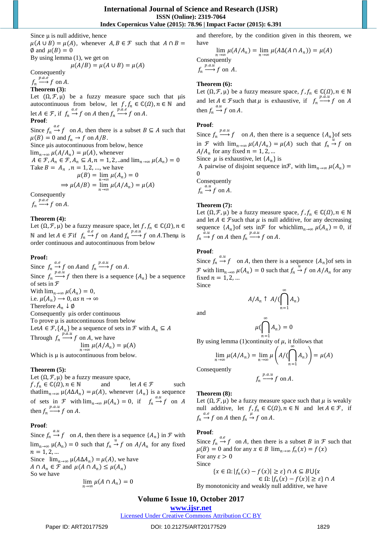Since  $\mu$  is null additive, hence  $\mu(A \cup B) = \mu(A)$ , whenever  $A, B \in \mathcal{F}$  such that  $A \cap B =$  $\emptyset$  and  $\mu(B) = 0$ By using lemma (1), we get on  $\mu(A/B) = \mu(A \cup B) = \mu(A)$ Consequently  $f_n \xrightarrow{p.a.e} f$  on A. **Theorem (3):**

Let  $(\Omega, \mathcal{F}, \mu)$  be a fuzzy measure space such that  $\mu$ is autocontinuous from below, let  $f, f_n \in \mathbb{C}(\Omega)$ ,  $n \in \mathbb{N}$  and let  $A \in \mathcal{F}$ , if  $f_n \stackrel{a.e}{\rightarrow} f$  on A then  $f_n \stackrel{p.a.e}{\rightarrow} f$  on A.

**Proof**:

Since  $f_n \xrightarrow{a.e} f$  on A, then there is a subset  $B \subseteq A$  such that  $\mu(B) = 0$  and  $f_n \to f$  on  $A/B$ .

Since μis autocontinuous from below, hence

 $\lim_{n\to\infty}\mu(A/A_n)=\mu(A)$ , whenever  $A \in \mathcal{F}, A_n \in \mathcal{F}, A_n \subseteq A, n = 1, 2, \dots$ and  $\lim_{n \to \infty} \mu(A_n) = 0$ Take  $B = A_n$ ,  $n = 1, 2, ...$ , we have  $\mu(B) = \lim_{n \to \infty} \mu(A_n) = 0$ 

$$
\Rightarrow \mu(A/B) = \lim_{n \to \infty} \mu(A/A_n) = \mu(A)
$$

Consequently

 $f_n \xrightarrow{p.a.e} f$  on A.

#### **Theorem (4):**

Let  $(\Omega, \mathcal{F}, \mu)$  be a fuzzy measure space, let  $f, f_n \in \mathbb{C}(\Omega)$ ,  $n \in$ N and let *A* ∈ *F* if  $f_n \xrightarrow{a.e} f$  on *A* and  $f_n \xrightarrow{p.a.u} f$  on *A*. Then u is order continuous and autocontinuous from below

## **Proof:**

Since  $f_n \xrightarrow{a.e} f$  on A and  $f_n \xrightarrow{p.a.u} f$  on A. Since  $f_n \stackrel{p.a.i.}{\longrightarrow} f$  then there is a sequence  $\{A_n\}$  be a sequence of sets in ℱ With  $\lim_{n\to\infty} \mu(A_n) = 0$ , i.e.  $\mu(A_n) \to 0$ , as  $n \to \infty$ Therefore  $A_n \downarrow \emptyset$ Consequently μis order continuous To prove μ is autocontinuous from below Let  $A \in \mathcal{F}, \{A_n\}$  be a sequence of sets in  $\mathcal{F}$  with  $A_n \subseteq A$ Through  $f_n \xrightarrow{p.a.u} f$  on A, we have  $\lim_{n \to \infty} \mu(A/A_n) = \mu(A)$ 

Which is μ is autocontinuous from below.

#### **Theorem (5):**

Let  $(\Omega, \mathcal{F}, \mu)$  be a fuzzy measure space,

 $f, f_n \in \mathbb{C}(\Omega), n \in \mathbb{N}$  and let  $A \in \mathcal{F}$  such that lim<sub>n→∞</sub>  $\mu(A \Delta A_n) = \mu(A)$ , whenever  $\{A_n\}$  is a sequence of sets in  $\mathcal F$  with  $\lim_{n\to\infty} \mu(A_n) = 0$ , if  $f_n \stackrel{a.u}{\to} f$  on A then  $f_n \xrightarrow{p.a.u} f$  on A.

# **Proof**:

Since  $f_n \xrightarrow{a.u} f$  on A, then there is a sequence  $\{A_n\}$  in  $\mathcal F$  with  $\lim_{n\to\infty} \mu(A_n) = 0$  such that  $f_n \to f$  on  $A/A_n$  for any fixed  $n = 1, 2, ...$ Since  $\lim_{n\to\infty} \mu(A\Delta A_n) = \mu(A)$ , we have

 $A \cap A_n \in \mathcal{F}$  and  $\mu(A \cap A_n) \leq \mu(A_n)$ So we have

$$
\lim_{n\to\infty}\mu(A\cap A_n)=0
$$

and therefore, by the condition given in this theorem, we have

 $\lim_{n \to \infty} \mu(A/A_n) = \lim_{n \to \infty} \mu(A\Delta(A \cap A_n)) = \mu(A)$ Consequently  $f_n \xrightarrow{p.a.\overrightarrow{u}} f$  on A.

## **Theorem (6):**

Let  $(\Omega, \mathcal{F}, \mu)$  be a fuzzy measure space,  $f, f_n \in \mathbb{C}(\Omega)$ ,  $n \in \mathbb{N}$ and let  $A \in \mathcal{F}$  such that  $\mu$  is exhaustive, if  $f_n \xrightarrow{p.a.u} f$  on A then  $f_n \xrightarrow{a.u} f$  on A.

## **Proof**:

Since  $f_n \stackrel{p.a.u}{\longrightarrow} f$  on A, then there is a sequence  $\{A_n\}$  of sets in *F* with  $\lim_{n\to\infty} \mu(A/A_n) = \mu(A)$  such that  $f_n \to f$  on  $A/A_n$  for any fixed  $n = 1, 2, ...$ 

Since  $\mu$  is exhaustive, let  $\{A_n\}$  is

A pairwise of disjoint sequence in  $\mathcal{F}$ , with  $\lim_{n\to\infty} \mu(A_n) =$  $\Omega$ 

Consequently

 $f_n \xrightarrow{a.u} f$  on A.

## **Theorem (7):**

Let  $(\Omega, \mathcal{F}, \mu)$  be a fuzzy measure space,  $f, f_n \in \mathbb{C}(\Omega)$ ,  $n \in \mathbb{N}$ and let  $A \in \mathcal{F}$  such that  $\mu$  is null additive, for any decreasing sequence  $\{A_n\}$  of sets in  $\mathcal F$  for which  $\lim_{n\to\infty} \mu(A_n) = 0$ , if  $f_n \xrightarrow{\hat{a}.u} f$  on A then  $f_n \xrightarrow{p.a.u} f$  on A.

## **Proof**:

Since  $f_n \xrightarrow{a.u} f$  on A, then there is a sequence  $\{A_n\}$  of sets in *F* with  $\lim_{n\to\infty} \mu(A_n) = 0$  such that  $f_n \to f$  on  $A/A_n$  for any fixed  $n = 1, 2, ...$ Since

$$
A/A_n \uparrow A/(\bigcap_{n=1}^{\infty} A_n)
$$

∞

and

$$
\mu(\bigcap_{n=1}^{\infty} A_n) = 0
$$

By using lemma (1)continuity of  $\mu$ , it follows that

$$
\lim_{n\to\infty}\mu(A/A_n)=\lim_{n\to\infty}\mu\left(A/(\bigcap_{n=1}^{\infty}A_n)\right)=\mu(A)
$$

Consequently

$$
f_n \xrightarrow{p.a.u} f
$$
 on A.

#### **Theorem (8):**

Let  $(\Omega, \mathcal{F}, \mu)$  be a fuzzy measure space such that  $\mu$  is weakly null additive, let  $f, f_n \in \mathbb{C}(\Omega)$ ,  $n \in \mathbb{N}$  and let  $A \in \mathcal{F}$ , if  $f_n \xrightarrow{a.e} f$  on A then  $f_n \xrightarrow{\mu} f$  on A.

#### **Proof**:

Since  $f_n \xrightarrow{a.e} f$  on A, then there is a subset B in F such that  $\mu(B) = 0$  and for any  $x \in B \lim_{n \to \infty} f_n(x) = f(x)$ For any  $\varepsilon > 0$ Since  $\{x \in \Omega : |f_n(x) - f(x)| \ge \varepsilon\} \cap A \subseteq B\bigcup \{x$ 

 $\in \Omega$ :  $|f_n(x) - f(x)| \ge \varepsilon$   $\cap$  A By monotonicity and weakly null additive, we have

# **Volume 6 Issue 10, October 2017**

**<www.ijsr.net>**

[Licensed Under Creative Commons Attribution CC BY](http://creativecommons.org/licenses/by/4.0/)

Paper ID: ART20177529 DOI: 10.21275/ART20177529 1829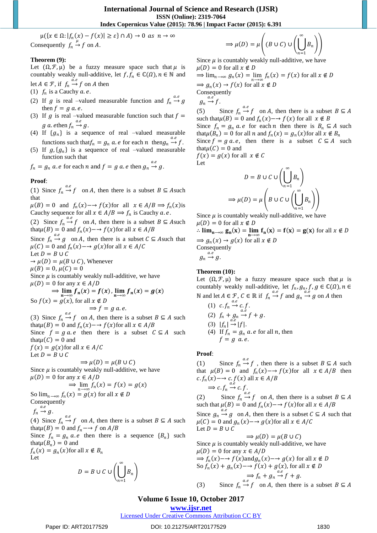$\mu({x \in \Omega: |f_n(x) - f(x)| \ge \varepsilon} \cap A) \to 0 \text{ as } n \to \infty$ Consequently  $f_n \stackrel{\mu}{\rightarrow} f$  on A.

#### **Theorem (9):**

Let  $(\Omega, \mathcal{F}, \mu)$  be a fuzzy measure space such that  $\mu$  is countably weakly null-additive, let  $f, f_n \in \mathbb{C}(\Omega)$ ,  $n \in \mathbb{N}$  and let  $A \in \mathcal{F}$ , if  $f_n \xrightarrow{\tilde{a}.e} f$  on A then

- (1)  $f_n$  is a Cauchy  $a.e.$
- (2) If g is real –valued measurable function and  $f_n \stackrel{a.e}{\rightarrow} g$ then  $f = g a.e.$
- (3) If  $g$  is real –valued measurable function such that  $f =$ g a. ethen  $f_n \stackrel{a.e}{\rightarrow} g$ .
- (4) If  $\{g_n\}$  is a sequence of real –valued measurable functions such that  $f_n = g_n$  a. e for each n then  $g_n \stackrel{a.e}{\rightarrow} f$ .
- (5) If  $g, \{g_n\}$  is a sequence of real –valued measurable function such that

 $f_n = g_n$  a.e for each n and  $f = g$  a.e then  $g_n \stackrel{a.e}{\rightarrow} g$ .

## **Proof**:

(1) Since  $f_n \stackrel{a.e}{\rightarrow} f$  on A, then there is a subset  $B \subseteq A$ such that

 $\mu(B) = 0$  and  $f_n(x) \to f(x)$  for all  $x \in A/B \implies f_n(x)$  is Cauchy sequence for all  $x \in A/B \implies f_n$  is Cauchy a. e.

(2) Since  $f_n \xrightarrow{a.e} f$  on A, then there is a subset  $B \subseteq A$ such that  $\mu(B) = 0$  and  $f_n(x) \rightarrow f(x)$  for all  $x \in A/B$ 

Since  $f_n \xrightarrow{a.e} g$  on A, then there is a subset  $C \subseteq A$ such that  $\mu(C) = 0$  and  $f_n(x) \rightarrow g(x)$  for all  $x \in A/C$ Let  $D = B \cup C$  $\rightarrow \mu(D) = \mu(B \cup C)$ , Whenever  $\mu(B) = 0, \mu(C) = 0$ Since  $\mu$  is countably weakly null-additive, we have

 $\mu(D) = 0$  for any  $x \in A/D$ 

$$
\Rightarrow \lim_{n \to \infty} f_n(x) = f(x), \lim_{n \to \infty} f_n(x) = g(x)
$$
  
So  $f(x) = g(x)$ , for all  $x \notin D$   
 $\Rightarrow f = g \ a, e$ .

(3) Since  $f_n \stackrel{a.e}{\rightarrow} f$  on A, then there is a subset  $B \subseteq A$  such that  $\mu(B) = 0$  and  $f_n(x) \rightarrow f(x)$  for all  $x \in A/B$ Since  $f = g a.e$  then there is a subset  $C \subseteq A$  such that  $\mu(C) = 0$  and  $f(x) = g(x)$  for all  $x \in A/C$ Let  $D = B \cup C$ 

 $\Rightarrow \mu(D) = \mu(B \cup C)$ Since  $\mu$  is countably weakly null-additive, we have  $\mu(D) = 0$  for any  $x \in A/D$ 

$$
\Rightarrow \lim_{n \to \infty} f_n(x) = f(x) = g(x)
$$
  
So  $\lim_{n \to \infty} f_n(x) = g(x)$  for all  $x \notin D$ 

Consequently

$$
f_n \stackrel{a.e}{\rightarrow} g.
$$

(4) Since  $f_n \xrightarrow{a.e} f$  on A, then there is a subset  $B \subseteq A$  such that  $\mu(B) = 0$  and  $f_n \rightarrow f$  on  $A/B$ 

Since  $f_n = g_n a.e$  then there is a sequence  ${B_n}$  such that  $\mu(B_n) = 0$  and

 $f_n(x) = g_n(x)$  for all  $x \notin B_n$ Let

$$
D = B \cup C \cup \left(\bigcup_{n=1}^{\infty} B_n\right)
$$

$$
\Rightarrow \mu(D) = \mu\left( (B \cup C) \cup \left( \bigcup_{n=1}^{\infty} B_n \right) \right)
$$

Since  $\mu$  is countably weakly null-additive, we have  $\mu(D) = 0$  for all  $x \notin D$  $\Rightarrow \lim_{n \to \infty} g_n(x) = \lim_{n \to \infty} f_n(x) = f(x)$  for all  $x \notin D$  $\Rightarrow$   $g_n(x) \rightarrow f(x)$  for all  $x \notin D$ Consequently  $g_n \xrightarrow{a.e} f.$ (5) Since  $f_n \stackrel{a.e}{\rightarrow} f$  on A, then there is a subset  $B \subseteq A$ such that  $\mu(B) = 0$  and  $f_n(x) \rightarrow f(x)$  for all  $x \notin B$ 

Since  $f_n = g_n a.e$  for each *n* then there is  $B_n \subseteq A$  such that  $\mu(B_n) = 0$  for all n and  $f_n(x) = g_n(x)$  for all  $x \notin B_n$ Since  $f = g a.e$ , then there is a subset  $C \subseteq A$  such that  $\mu(C) = 0$  and

 $f(x) = g(x)$  for all  $x \notin C$ Let

$$
D = B \cup C \cup \left(\bigcup_{n=1}^{\infty} B_n\right)
$$

$$
\Rightarrow \mu(D) = \mu \left(B \cup C \cup \left(\bigcup_{n=1}^{\infty} B_n\right)\right)
$$

Since  $\mu$  is countably weakly null-additive, we have  $\mu(D) = 0$  for all  $x \notin D$ 

∴  $\lim_{n\to\infty} g_n(x) = \lim_{n\to\infty} f_n(x) = f(x) = g(x)$  for all  $x \notin D$  $\Rightarrow$   $g_n(x) \rightarrow g(x)$  for all  $x \notin D$ Consequently  $a.e$  $g_n \rightarrow g$ .

# **Theorem (10):**

Let  $(\Omega, \mathcal{F}, \mu)$  be a fuzzy measure space such that  $\mu$  is countably weakly null-additive, let  $f_n, g_n, f, g \in \mathbb{C}(\Omega)$ ,  $n \in$ N and let  $A \in \mathcal{F}$ ,  $C \in \mathbb{R}$  if  $f_n \stackrel{a.e}{\rightarrow} f$  and  $g_n \stackrel{a.e}{\rightarrow} g$  on A then

(1) 
$$
c \cdot f_n \rightarrow c \cdot f
$$
.  
\n(2)  $f_n + g_n \rightarrow f + g$ .  
\n(3)  $|f_n| \rightarrow |f|$ .  
\n(4) If  $f_n = g_n$  a.e for all n, then  
\n $f = g$  a.e.

#### **Proof**:

(1) Since  $f_n \stackrel{a.e}{\rightarrow} f$ , then there is a subset  $B \subseteq A$  such that  $\mu(B) = 0$  and  $f_n(x) \to f(x)$  for all  $x \in A/B$  then  $c.f_n(x) \rightarrow c.f(x)$  all  $x \in A/B$  $\Rightarrow$  c.f<sub>n</sub>  $\stackrel{a.e}{\rightarrow}$  c.f.

(2) Since  $f_n \xrightarrow{a.e} f$  on A, then there is a subset  $B \subseteq A$ such that  $\mu(B) = 0$  and  $f_n(x) \rightarrow f(x)$  for all  $x \in A/B$ Since  $g_n \stackrel{a.e}{\rightarrow} g$  on A, then there is a subset  $C \subseteq A$  such that

 $\mu(C) = 0$  and  $g_n(x) \rightarrow g(x)$  for all  $x \in A/C$ Let  $D = B \cup C$ 

$$
\Rightarrow \mu(D) = \mu(B \cup C)
$$
  
Since  $\mu$  is countably weakly null-additive, we have  
 $\mu(D) = 0$  for any  $x \in A/D$   
 $\Rightarrow f_n(x) \rightarrow f(x)$  and  $g_n(x) \rightarrow g(x)$  for all  $x \notin D$   
So  $f_n(x) + g_n(x) \rightarrow f(x) + g(x)$ , for all  $x \notin D$   
 $\Rightarrow f_n + g_n \rightarrow f + g$ .

(3) Since  $f_n \stackrel{a.e}{\rightarrow} f$  on A, then there is a subset  $B \subseteq A$ 

# **Volume 6 Issue 10, October 2017**

# **<www.ijsr.net>**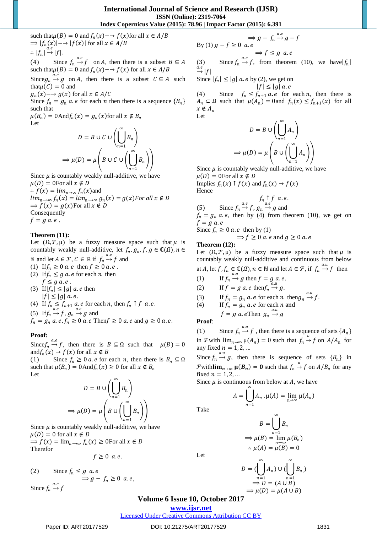such that  $\mu(B) = 0$  and  $f_n(x) \rightarrow f(x)$  for all  $x \in A/B$  $\Rightarrow |f_n(x)| \rightarrow |f(x)|$  for all  $x \in A/B$ ∴  $|f_n| \stackrel{a.e}{\rightarrow} |f|$ . (4) Since  $f_n \stackrel{a.e}{\rightarrow} f$  on A, then there is a subset  $B \subseteq A$ 

such that  $\mu(B) = 0$  and  $f_n(x) \rightarrow f(x)$  for all  $x \in A/B$ 

Since  $g_n \xrightarrow{a.e} g$  on A, then there is a subset  $C \subseteq A$  such that  $\mu(C) = 0$  and

 $g_n(x) \rightarrow g(x)$  for all  $x \in A/C$ 

Since  $f_n = g_n$  a. *e* for each *n* then there is a sequence  ${B_n}$ such that

 $\mu(B_n) = 0$ And $f_n(x) = g_n(x)$ for all  $x \notin B_n$ Let ∞

$$
D = B \cup C \cup \left(\bigcup_{n=1}^{n} B_n\right)
$$

$$
\Rightarrow \mu(D) = \mu \left(B \cup C \cup \left(\bigcup_{n=1}^{\infty} B_n\right)\right)
$$

Since  $\mu$  is countably weakly null-additive, we have  $\mu(D) = 0$ For all  $x \notin D$ 

 $\therefore f(x) = \lim_{n \to \infty} f_n(x)$ and  $\lim_{n\to\infty} f_n(x) = \lim_{n\to\infty} g_n(x) = g(x)$  *For all*  $x \notin D$  $\Rightarrow$   $f(x) = g(x)$ For all  $x \notin D$ Consequently  $f = g a.e.$ 

## **Theorem (11):**

Let  $(\Omega, \mathcal{F}, \mu)$  be a fuzzy measure space such that  $\mu$  is countably weakly null-additive, let  $f_n, g_n, f, g \in \mathbb{C}(\Omega)$ ,  $n \in$ N and let  $A \in \mathcal{F}$ ,  $C \in \mathbb{R}$  if  $f_n \stackrel{a.e}{\rightarrow} f$  and

- (1) If  $f_n \geq 0$  a. e then  $f \geq 0$  a. e.
- (2) If  $f_n \leq g$  *a.e* for each *n* then  $f \leq g \ a \ e \ .$

(3) If  $|f_n| \le |g|$  *a.e* then  $|f| \leq |g|$  a.e.

- (4) If  $f_n \le f_{n+1}$  a. e for each n, then  $f_n \uparrow f$  a. e.
- (5) If  $f_n \xrightarrow{a.e} f$ ,  $g_n \xrightarrow{a.e} g$  and
- $f_n = g_n a.e, f_n \ge 0$  a. e Then  $f \ge 0$  a. e and  $g \ge 0$  a. e.

#### **Proof:**

Since  $f_n \stackrel{a.e}{\rightarrow} f$ , then there is  $B \subseteq \Omega$  such that  $\mu(B) = 0$ and  $f_n(x) \to f(x)$  for all  $x \notin B$ 

Since  $f_n \geq 0$  *a. e* for each *n*, then there is  $B_n \subseteq \Omega$ such that  $\mu(B_n) = 0$ And $f_n(x) \ge 0$  for all  $x \notin B_n$ Let

$$
D = B \cup \left(\bigcup_{n=1}^{\infty} B_n\right)
$$

$$
\Rightarrow \mu(D) = \mu \left(B \cup \left(\bigcup_{n=1}^{\infty} B_n\right)\right)
$$

Since  $\mu$  is countably weakly null-additive, we have  $\mu(D) = 0$  for all  $x \notin D$ 

 $\Rightarrow$   $f(x) = \lim_{n \to \infty} f_n(x) \ge 0$ For all  $x \notin D$ Therefor

$$
f\geq 0\ a.e.
$$

(2) Since  $f_n \leq g$  a.e  $\Rightarrow$  g -  $f_n \geq 0$  a.e, Since  $f_n \xrightarrow{a.e} f$ 

$$
\Rightarrow g - f_n \xrightarrow{a.e} g - f
$$
  
By (1)  $g - f \ge 0$  a.e  

$$
\Rightarrow f \le g \text{ a.e}
$$

(3) Since  $f_n \stackrel{a.e}{\rightarrow} f$ , from theorem (10), we have  $|f_n|$  $\stackrel{a.e}{\rightarrow} |f|$ 

Since 
$$
|f_n| \le |g|
$$
 *a.e* by (2), we get on  
 $|f| < |g|$  *a.e*

 $|f| \leq |g|$  a.e (4) Since  $f_n \le f_{n+1}$  *a.e* for each *n*, then there is  $A_n \subset \Omega$  such that  $\mu(A_n) = 0$  and  $f_n(x) \le f_{n+1}(x)$  for all  $x \notin A_n$ Let

$$
D = B \cup \left(\bigcup_{n=1}^{\infty} A_n \right)
$$

$$
\implies \mu(D) = \mu \left(B \cup \left(\bigcup_{n=1}^{\infty} A_n \right)\right)
$$

Since  $\mu$  is countably weakly null-additive, we have  $\mu(D) = 0$ For all  $x \notin D$ 

Implies  $f_n(x) \uparrow f(x)$  and  $f_n(x) \rightarrow f(x)$ Hence

$$
f_n \uparrow f \ a.e.
$$
\nSince  $f_n \xrightarrow{a.e} f, g_n \xrightarrow{a.e} g$  and

 $f_n = g_n a.e$ , then by (4) from theorem (10), we get on  $f = g a.e$ 

Since  $f_n \geq 0$  *a.e* then by (1)

$$
\Rightarrow
$$
  $f \ge 0$  *a.e* and  $g \ge 0$  *a.e*

#### **Theorem (12):**

 $(5)$ 

Let  $(\Omega, \mathcal{F}, \mu)$  be a fuzzy measure space such that  $\mu$  is countably weakly null-additive and continuous from below at A, let  $f, f_n \in \mathbb{C}(\Omega)$ ,  $n \in \mathbb{N}$  and let  $A \in \mathcal{F}$ , if  $f_n \stackrel{a.u}{\rightarrow} f$  then

.

(1) If 
$$
f_n \xrightarrow{a.u} g
$$
 then  $f = g a.e.$ 

(2) If 
$$
f = g \ a
$$
. e then  $f_n \stackrel{d}{\rightarrow} g$ .

(3) If 
$$
f_n = g_n a
$$
. e for each n then  $g_n \xrightarrow{a.a} f$ .

(4) If 
$$
f_n = g_n a.e
$$
 for each *n* and

$$
f = g \ a \ e \text{Then } g_n \stackrel{\text{d.i.d.}}{\rightarrow} g
$$

**Proof**:

Take

Let

(1) Since  $f_n \stackrel{a.u}{\rightarrow} f$ , then there is a sequence of sets  $\{A_n\}$ in *F* with  $\lim_{n\to\infty} \mu(A_n) = 0$  such that  $f_n \stackrel{u}{\to} f$  on  $A/A_n$  for any fixed  $n = 1, 2, \dots$ 

Since  $f_n \stackrel{a.u}{\rightarrow} g$ , then there is sequence of sets  $\{B_n\}$  in  $\mathcal F$ with**lim**<sub>n→∞</sub>  $\mu(B_n) = 0$  such that  $f_n \stackrel{u}{\rightarrow} f$  on  $A/B_n$  for any fixed  $n = 1, 2, \dots$ 

Since  $\mu$  is continuous from below at A, we have

$$
A = \bigcup_{n=1}^{\infty} A_n \cdot \mu(A) = \lim_{n \to \infty} \mu(A_n)
$$

$$
B = \bigcup_{n=1}^{\infty} B_n
$$
  
\n
$$
\Rightarrow \mu(B) = \lim_{n \to \infty} \mu(B_n)
$$
  
\n
$$
\therefore \mu(A) = \mu(B) = 0
$$

$$
D = (\bigcup_{n=1}^{\infty} A_n) \cup (\bigcup_{n=1}^{\infty} B_n)
$$
  
\n
$$
\Rightarrow D = (A \cup B)
$$
  
\n
$$
\Rightarrow \mu(D) = \mu(A \cup B)
$$

## **Volume 6 Issue 10, October 2017**

**<www.ijsr.net>**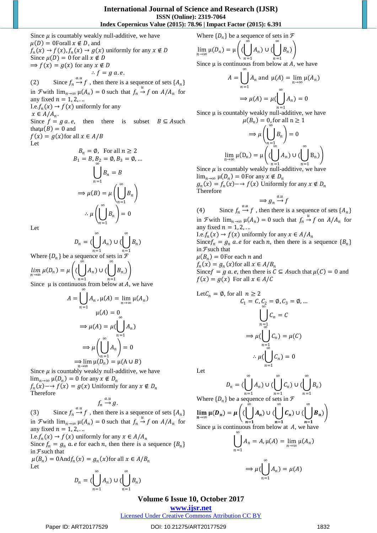Since  $\mu$  is countably weakly null-additive, we have  $\mu(D) = 0$ Forall  $x \notin D$ , and  $f_n(x) \to f(x)$ ,  $f_n(x) \to g(x)$  uniformly for any  $x \notin D$ Since  $\mu(D) = 0$  for all  $x \notin D$  $\Rightarrow$   $f(x) = g(x)$  for any  $x \notin D$  $\therefore f = g a e$ . (2) Since  $f_n \stackrel{a.u}{\rightarrow} f$ , then there is a sequence of sets  $\{A_n\}$ in *F* with  $\lim_{n\to\infty} \mu(A_n) = 0$  such that  $f_n \stackrel{u}{\to} f$  on  $A/A_n$  for any fixed  $n = 1, 2, \ldots$ I.e.  $f_n(x) \rightarrow f(x)$  uniformly for any  $x \in A/A_n$ . Since  $f = g a.e$ , then there is subset  $B \subseteq A$  such

that  $\mu(B) = 0$  and  $f(x) = g(x)$  for all  $x \in A/B$ Let

$$
B_n = \emptyset, \text{ For all } n \ge 2
$$
  
\n
$$
B_1 = B, B_2 = \emptyset, B_3 = \emptyset, ...
$$
  
\n
$$
\bigcup_{n=1}^{\infty} B_n = B
$$
  
\n
$$
\Rightarrow \mu(B) = \mu \left( \bigcup_{n=1}^{\infty} B_n \right)
$$
  
\n
$$
\therefore \mu \left( \bigcup_{n=1}^{\infty} B_n \right) = 0
$$

Let

Let

$$
D_n = \left(\bigcup_{n=1}^{\infty} A_n\right) \cup \left(\bigcup_{n=1}^{\infty} B_n\right)
$$

Where  $\{D_n\}$  be a sequence of sets in  $\mathcal{F}$ 

 $\lim_{n\to\infty}\mu(D_n)=\mu\Big(\big(\bigcup A_n\big)\cup\big(\bigcup B_n\Big)$  $n=1$ )  $n=1$  $\overline{\phantom{a}}$ 

Since  $\mu$  is continuous from below at A, we have ∞

$$
A = \bigcup_{n=1} A_n, \mu(A) = \lim_{n \to \infty} \mu(A_n)
$$
  

$$
\mu(A) = 0
$$
  

$$
\Rightarrow \mu(A) = \mu(\bigcup_{n=1}^{\infty} A_n)
$$
  

$$
\Rightarrow \mu\left(\bigcup_{n=1}^{\infty} A_n\right) = 0
$$
  

$$
\Rightarrow \lim_{n \to \infty} \mu(D_n) = \mu(A \cup B)
$$

Since  $\mu$  is countably weakly null-additive, we have  $\lim_{n\to\infty} \mu(D_n) = 0$  for any  $x \notin D_n$  $f_n(x)$  – →  $f(x) = g(x)$  Uniformly for any  $x \notin D_n$ Therefore  $a.u$ 

$$
f_n \stackrel{a.u}{\rightarrow} g.
$$

(3) Since  $f_n \stackrel{a.u}{\rightarrow} f$ , then there is a sequence of sets  $\{A_n\}$ in *F* with  $\lim_{n\to\infty} \mu(A_n) = 0$  such that  $f_n \stackrel{u}{\to} f$  on  $A/A_n$  for any fixed  $n = 1, 2, \ldots$ 

I.e.  $f_n(x) \to f(x)$  uniformly for any  $x \in A/A_n$ Since  $f_n = g_n a$ . *e* for each *n*, then there is a sequence  ${B_n}$ in  $\mathcal F$  such that  $\mu(B_n) = 0$ And $f_n(x) = g_n(x)$ for all  $x \in A/B_n$ 

$$
D_n=(\bigcup_{n=1}^\infty A_n)\cup(\bigcup_{n=1}^\infty B_n)
$$

Where  $\{D_n\}$  be a sequence of sets in  $\mathcal{F}$ 

$$
\lim_{n \to \infty} \mu(D_n) = \mu\left( (\bigcup_{n=1}^{\infty} A_n) \cup (\bigcup_{n=1}^{\infty} B_n) \right)
$$

Since  $\mu$  is continuous from below at A, we have ∞

$$
A = \bigcup_{n=1} A_n \text{ and } \mu(A) = \lim_{n \to \infty} \mu(A_n)
$$

$$
\implies \mu(A) = \mu(\bigcup_{n=1}^{\infty} A_n) = 0
$$

Since  $\mu$  is countably weakly null-additive, we have

$$
\mu(B_n) = 0, \text{ for all } n \ge 1
$$

$$
\Rightarrow \mu\left(\bigcup_{n=1}^{\infty} B_n\right) = 0
$$

$$
\lim_{n \to \infty} \mu(D_n) = \mu\left(\left(\bigcup_{n=1}^{\infty} A_n\right) \cup \left(\bigcup_{n=1}^{\infty} B_n\right)\right)
$$

Since  $\mu$  is countably weakly null-additive, we have  $\lim_{n\to\infty} \mu(D_n) = 0$ For any  $x \notin D_n$ 

 $g_n(x) = f_n(x) \rightarrow f(x)$  Uniformly for any  $x \notin D_n$ Therefore

$$
\implies g_n \stackrel{a.u}{\to} f
$$

(4) Since  $f_n \stackrel{a.u}{\rightarrow} f$ , then there is a sequence of sets  $\{A_n\}$ in *F* with  $\lim_{n\to\infty} \mu(A_n) = 0$  such that  $f_n \stackrel{u}{\to} f$  on  $A/A_n$  for any fixed  $n = 1, 2, \dots$ 

I.e.  $f_n(x)$  →  $f(x)$  uniformly for any  $x \in A/A_n$ Since  $f_n = g_n a$ . *e* for each *n*, then there is a sequence  ${B_n}$ in  $\mathcal F$  such that  $\mu(B_n) = 0$ For each *n* and

 $f_n(x) = g_n(x)$  for all  $x \in A/B_n$ 

Since  $f = g a$ . *e*, then there is  $C \subseteq A$  such that  $\mu(C) = 0$  and  $f(x) = g(x)$  For all  $x \in A/C$ 

Let 
$$
C_n = \emptyset
$$
, for all  $n \ge 2$   
\n $C_1 = C$ ,  $C_2 = \emptyset$ ,  $C_3 = \emptyset$ , ...  
\n
$$
\bigcup_{n=1}^{\infty} C_n = C
$$
\n
$$
\Rightarrow \mu(\bigcup_{n=1}^{\infty} C_n) = \mu(C)
$$
\n
$$
\therefore \mu(\bigcup_{n=1}^{\infty} C_n) = 0
$$

Let

$$
D_n = \left(\bigcup_{n=1}^{\infty} A_n\right) \cup \left(\bigcup_{n=1}^{\infty} C_n\right) \cup \left(\bigcup_{n=1}^{\infty} B_n\right)
$$

Where 
$$
{D_n}
$$
 be a sequence of sets in  $F$ 

$$
\lim_{n \to \infty} \mu(D_n) = \mu\left( (\bigcup_{n=1}^{\infty} A_n) \cup (\bigcup_{n=1}^{\infty} C_n) \cup (\bigcup_{n=1}^{\infty} B_n) \right)
$$
  
Since u is continuous from below at A, we have

Since 
$$
\mu
$$
 is continuous from below at *A*, we have

$$
\bigcup_{n=1} A_n = A, \mu(A) = \lim_{n \to \infty} \mu(A_n)
$$

$$
\implies \mu(\bigcup_{n=1}^{\infty} A_n) = \mu(A)
$$

# **Volume 6 Issue 10, October 2017**

**<www.ijsr.net>**

[Licensed Under Creative Commons Attribution CC BY](http://creativecommons.org/licenses/by/4.0/)

#### Paper ID: ART20177529 DOI: 10.21275/ART20177529 1832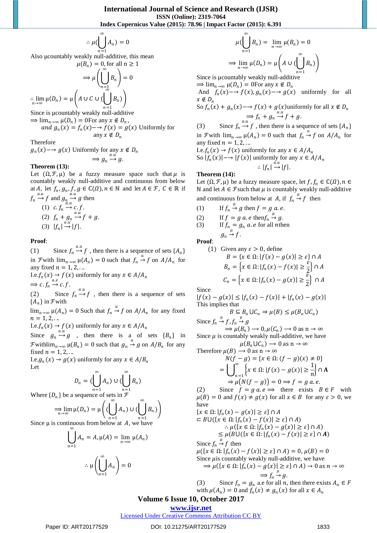$$
\therefore \mu(\bigcup_{n=1} A_n) = 0
$$

∞

Also μcountably weakly null-additive, this mean

$$
\mu(B_n) = 0, \text{ for all } n \ge 1
$$

$$
\implies \mu\left(\bigcup_{n=1}^{\infty} B_n\right) = 0
$$

$$
\therefore \lim_{n \to \infty} \mu(D_n) = \mu\left(A \cup C \cup \left(\bigcup_{n=1}^{\infty} B_n\right)\right)
$$
Since is is

 $\Rightarrow \lim_{n \to \infty} \mu(D_n) = 0$ For any  $x \notin D_n$ , and  $g_n(x) = f_n(x) - f(x) = g(x)$  Uniformly for any  $x \notin D_n$ 

Therefore

 $g_n(x) \rightarrow g(x)$  Uniformly for any  $x \notin D_n$  $\Rightarrow$   $g_n \stackrel{a.i}{\rightarrow} g.$ 

#### **Theorem (13):**

Let  $(\Omega, \mathcal{F}, \mu)$  be a fuzzy measure space such that  $\mu$  is countably weakly null-additive and continuous from below at A, let  $f_n, g_n, f, g \in \mathbb{C}(\Omega)$ ,  $n \in \mathbb{N}$  and let  $A \in \mathcal{F}, C \in \mathbb{R}$  if  $f_n$ 

$$
f_n \to f \text{ and } g_n \to g \text{ then}
$$
  
\n(1)  $c \cdot f_n \to c \cdot f$ .  
\n(2)  $f_n + g_n \to f + g$ .  
\n(3)  $|f_n| \to |f|$ .

**Proof**:

(1) Since  $f_n \stackrel{a.u}{\rightarrow} f$ , then there is a sequence of sets  $\{A_n\}$ in *F* with  $\lim_{n\to\infty} \mu(A_n) = 0$  such that  $f_n \stackrel{u}{\to} f$  on  $A/A_n$  for any fixed  $n = 1, 2, \dots$ 

I.e.f<sub>n</sub> $(x) \rightarrow f(x)$  uniformly for any  $x \in A/A_n$  $\Rightarrow$  c.f<sub>n</sub>  $\rightarrow$  c.f.

(2) Since  $f_n \xrightarrow{a.u} f$ , then there is a sequence of sets  ${A_n}$  in  $\mathcal F$  with

 $\lim_{n\to\infty} \mu(A_n) = 0$  Such that  $f_n \stackrel{u}{\to} f$  on  $A/A_n$  for any fixed  $n = 1, 2, ...$ 

I.e.f<sub>n</sub> $(x) \rightarrow f(x)$  uniformly for any  $x \in A/A_n$ 

Since  $g_n \to g$ , then there is a of sets  $\{B_n\}$  in Fwith  $\lim_{n\to\infty} \mu(B_n) = 0$  such that  $g_n \stackrel{u}{\to} g$  on  $A/B_n$  for any fixed  $n = 1, 2, \ldots$ 

I.e. $g_n(x) \to g(x)$  uniformly for any  $x \in A/B_n$ Let

$$
D_n = \bigcup_{n=1}^{\infty} A_n \big) \cup \bigcup_{n=1}^{\infty} B_n \big)
$$

Where  $\{D_n\}$  be a sequence of sets in  $\mathcal{F}$ 

$$
\Rightarrow \lim_{n \to \infty} \mu(D_n) = \mu\left( (\bigcup_{n=1}^{\infty} A_n) \cup (\bigcup_{n=1}^{\infty} B_n) \right)
$$

Since  $\mu$  is continuous from below at A, we have ∞

$$
\bigcup_{n=1} A_n = A, \mu(A) = \lim_{n \to \infty} \mu(A_n)
$$

$$
\therefore \mu\left(\bigcup_{n=1}^{\infty} A_n\right) = 0
$$

$$
\mu(\bigcup_{n=1}^{\infty} B_n) = \lim_{n \to \infty} \mu(B_n) = 0
$$
  

$$
\Rightarrow \lim_{n \to \infty} \mu(D_n) = \mu\left(A \cup (\bigcup_{n=1}^{\infty} B_n)\right)
$$

Since is μcountably weakly null-additive

 $\Rightarrow \lim_{n \to \infty} \mu(D_n) = 0$ For any  $x \notin D_n$ 

And  $f_n(x) \to f(x)$ ,  $g_n(x) \to g(x)$  uniformly for all  $x \notin D_n$ 

So 
$$
f_n(x) + g_n(x) \to f(x) + g(x)
$$
 uniformly for all  $x \notin D_n$   
\n
$$
\Rightarrow f_n + g_n \to f + g.
$$

(3) Since  $f_n \stackrel{a.u}{\rightarrow} f$ , then there is a sequence of sets  $\{A_n\}$ in *F* with  $\lim_{n\to\infty} \mu(A_n) = 0$  such that  $f_n \stackrel{u}{\to} f$  on  $A/A_n$  for any fixed  $n = 1, 2, \ldots$ 

I.e.  $f_n(x) \to f(x)$  uniformly for any  $x \in A/A_n$ So  $|f_n(x)| \rightarrow |f(x)|$  uniformly for any  $x \in A/A_n$  $\therefore$   $|f_n| \stackrel{a.u}{\rightarrow} |f|.$ 

#### **Theorem (14):**

Let  $(\Omega, \mathcal{F}, \mu)$  be a fuzzy measure space, let  $f, f_n \in \mathbb{C}(\Omega)$ ,  $n \in$ N and let *A* ∈ *F* such that  $\mu$  is countably weakly null-additive and continuous from below at A, if  $f_n \stackrel{\mu}{\rightarrow} f$  then

- (1) If  $f_n \stackrel{\mu}{\rightarrow} g$  then  $f = g$  a.e.
- (2) If  $f = g$  a. e then  $f_n \stackrel{\mu}{\rightarrow} g$ .
- (3) If  $f_n = g_n$  *a. e* for all *n*then  $g_n \stackrel{\mu}{\rightarrow} f$ .

**Proof**:

(1) Given any 
$$
\varepsilon > 0
$$
, define  
\n
$$
B = \{x \in \Omega : |f(x) - g(x)| \ge \varepsilon\} \cap A
$$
\n
$$
B_n = \left\{x \in \Omega : |f_n(x) - f(x)| \ge \frac{\varepsilon}{2}\right\} \cap A
$$
\n
$$
C_n = \left\{x \in \Omega : |f_n(x) - g(x)| \ge \frac{\varepsilon}{2}\right\} \cap A
$$

Since

$$
|f(x) - g(x)| \le |f_n(x) - f(x)| + |f_n(x) - g(x)|
$$
  
This implies that

$$
B \subseteq B_n \cup C_n \Rightarrow \mu(B) \le \mu(B_n \cup C_n)
$$
  
Since  $f_n \stackrel{\mu}{\rightarrow} f, f_n \stackrel{\mu}{\rightarrow} g$ 

 $\Rightarrow \mu(B_n) \rightarrow 0, \mu(C_n) \rightarrow 0$  as  $n \rightarrow \infty$ Since  $\mu$  is countably weakly null-additive, we have

$$
\mu(B_n \cup C_n) \to 0 \text{ as } n \to \infty
$$
  
Therefore  $\mu(B) \to 0$  as  $n \to \infty$   
 $N(f - g) = \{x \in \Omega : (f - g)(x) \neq 0\}$ 

$$
= \bigcup_{n=1}^{\infty} \left\{ x \in \Omega : |f(x) - g(x)| \ge \frac{1}{n} \right\} \cap \mathbf{A}
$$
  
\n
$$
\Rightarrow \mu \big( N(f - g) \big) = 0 \Rightarrow f = g \text{ a.e.}
$$

(2) Since  $f = g a.e \implies$  there exists  $B \in F$  with  $\mu(B) = 0$  and  $f(x) \neq g(x)$  for all  $x \in B$  for any  $\varepsilon > 0$ , we have

$$
\{x \in \Omega : |f_n(x) - g(x)| \ge \varepsilon\} \cap A
$$
\n
$$
\subset B \cup (\{x \in \Omega : |f_n(x) - f(x)| \ge \varepsilon\} \cap A)
$$
\n
$$
\therefore \mu(\{x \in \Omega : |f_n(x) - g(x)| \ge \varepsilon\} \cap A)
$$
\n
$$
\le \mu(B \cup (\{x \in \Omega : |f_n(x) - f(x)| \ge \varepsilon\} \cap A)
$$
\nSince  $f_n \xrightarrow{\mu} f$  then  
\n
$$
\mu(\{x \in \Omega : |f_n(x) - f(x)| \ge \varepsilon\} \cap A) = 0, \mu(B) = 0
$$
\nSince  $\mu$  is countably weakly null-additive, we have  
\n
$$
\Rightarrow \mu(\{x \in \Omega : |f_n(x) - g(x)| \ge \varepsilon\} \cap A) \to 0 \text{ as } n \to \infty
$$
\n
$$
\Rightarrow f_n \xrightarrow{\mu} g.
$$

(3) Since  $f_n = g_n$  a.e for all *n*, then there exists  $A_n \in F$ with  $\mu(A_n) = 0$  and  $f_n(x) \neq g_n(x)$  for all  $x \in A_n$ 

# **Volume 6 Issue 10, October 2017**

# **<www.ijsr.net>**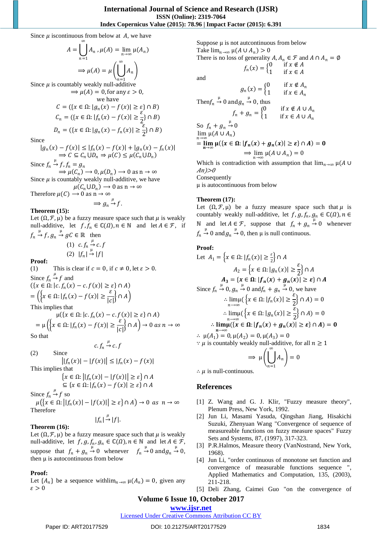Since  $\mu$  iscontinuous from below at A, we have

$$
A = \bigcup_{n=1}^{\infty} A_n \cdot \mu(A) = \lim_{n \to \infty} \mu(A_n)
$$

$$
\implies \mu(A) = \mu\left(\bigcup_{n=1}^{\infty} A_n\right)
$$

Since  $\mu$  is countably weakly null-additive  $\Rightarrow \mu(A) = 0$ , for any  $\varepsilon > 0$ ,

we have  
\n
$$
C = (\{x \in \Omega : |g_n(x) - f(x)| \ge \varepsilon\} \cap B)
$$
\n
$$
C_n = (\{x \in \Omega : |f_n(x) - f(x)| \ge \frac{\varepsilon}{2}\} \cap B)
$$
\n
$$
D_n = (\{x \in \Omega : |g_n(x) - f_n(x)| \ge \frac{\varepsilon}{2}\} \cap B)
$$

Since

$$
|g_n(x) - f(x)| \le |f_n(x) - f(x)| + |g_n(x) - f_n(x)|
$$
  
\n
$$
\Rightarrow C \subseteq C_n \cup D_n \Rightarrow \mu(C) \le \mu(C_n \cup D_n)
$$

Since  $f_n \stackrel{\mu}{\rightarrow} f$ ,  $f_n = g_n$  $\Rightarrow \mu(C_n) \rightarrow 0, \mu(D_n) \rightarrow 0 \text{ as } n \rightarrow \infty$ Since  $\mu$  is countably weakly null-additive, we have

 $\mu(C_n \cup D_n) \longrightarrow 0$  as  $n \rightarrow \infty$ Therefore  $\mu(C) \rightarrow 0$  as  $n \rightarrow \infty$ 

 $\Rightarrow$   $g_n \stackrel{\mu}{\rightarrow} f$ .

# **Theorem (15):**

Let  $(\Omega, \mathcal{F}, \mu)$  be a fuzzy measure space such that  $\mu$  is weakly null-additive, let  $f, f_n \in \mathbb{C}(\Omega)$ ,  $n \in \mathbb{N}$  and let  $A \in \mathcal{F}$ , if  $f_n \stackrel{\mu}{\rightarrow} f$ ,  $g_n \stackrel{\mu}{\rightarrow} gC \in \mathbb{R}$  then

(1) 
$$
c.f_n \stackrel{\mu}{\rightarrow} c.f
$$
  
(2)  $|f_n| \stackrel{\mu}{\rightarrow} |f|$ 

**Proof:** 

(1) This is clear if  $c = 0$ , if  $c \neq 0$ , let  $\varepsilon > 0$ . Since  $f_n \stackrel{\mu}{\rightarrow} f$  and  $({x \in \Omega : |c.f_n(x) - c.f(x)| \ge \varepsilon} \cap A)$ 

$$
= \left( \left\{ x \in \Omega : |f_n(x) - f(x)| \ge \frac{\varepsilon}{|c|} \right\} \cap A \right)
$$

This implies that

$$
\mu({x \in \Omega : |c.f_n(x) - c.f(x)| \ge \varepsilon} \cap A)
$$
  
= 
$$
\mu({x \in \Omega : |f_n(x) - f(x)| \ge \frac{\varepsilon}{|c|}} \cap A) \to 0 \text{ as } n \to \infty
$$
  
So that

So that

 $c.f_n \stackrel{\mu}{\rightarrow} c.f$ 

(2) Since  

$$
||f_n(x)| - |f(x)|| \le |f_n(x) - f(x)|
$$

This implies that

that  
\n
$$
\{x \in \Omega: ||f_n(x)| - |f(x)|| \ge \varepsilon\} \cap A
$$
\n
$$
\subset \{x \in \Omega: |f(x) - f(x)| > \varepsilon\} \cap A
$$

$$
\subseteq \{x \in \Omega : |f_n(x) - f(x)| \ge \varepsilon\} \cap A
$$

Since  $f_n \stackrel{\mu}{\rightarrow} f$  so  $\mu({x \in \Omega : ||f_n(x)|| - |f(x)|| \ge \varepsilon} \cap A) \to 0 \text{ as } n \to \infty$ Therefore

$$
|f_n| \stackrel{\mu}{\rightarrow} |f|.
$$

# **Theorem (16):**

Let  $(\Omega, \mathcal{F}, \mu)$  be a fuzzy measure space such that  $\mu$  is weakly null-additive, let  $f$ ,  $g$ ,  $f_n$ ,  $g_n \in \mathbb{C}(\Omega)$ ,  $n \in \mathbb{N}$  and let  $A \in \mathcal{F}$ , suppose that  $f_n + g_n \to 0$  whenever  $f_n \to 0$  and  $g_n \to 0$ , then μ is autocontinuous from below

# **Proof:**

Let  $\{A_n\}$  be a sequence with  $\lim_{n\to\infty} \mu(A_n) = 0$ , given any  $\varepsilon > 0$ 

Suppose  $\mu$  is not autcontinuous from below Take  $\lim_{n\to\infty} \mu(A \cup A_n) > 0$ There is no loss of generality  $A, A_n \in \mathcal{F}$  and  $A \cap A_n = \emptyset$  $f_n(x) = \begin{cases} 0 & \text{if } x \notin A \\ 1 & \text{if } x \in A \end{cases}$ 1 if  $x \in A$ and  $g_n(x) = \begin{cases} 0 & \text{if } x \notin A_n \\ 1 & \text{if } x \in A \end{cases}$ 1 if  $x \in A_n$ Then  $f_n \stackrel{\mu}{\rightarrow} 0$  and  $g_n \stackrel{\mu}{\rightarrow} 0$ , thus  $f_n + g_n =\begin{cases} 0 & \text{if } x \notin A \cup A_n \\ 1 & \text{if } x \in A \cup A_n \end{cases}$ 1 if  $x \in A \cup A_n$ So  $f_n + g_n \stackrel{\mu}{\rightarrow} 0$ 

$$
\lim_{n \to \infty} \mu(A \cup A_n)
$$
  
= 
$$
\lim_{n \to \infty} \mu({x \in \Omega} : |f_n(x) + g_n(x)| \ge \varepsilon \} \cap A) = 0
$$
  

$$
\implies \lim_{n \to \infty} \mu(A \cup A_n) = 0
$$

Which is contradiction with assumption that  $\lim_{n\to\infty} \mu(A \cup$  $An$   $>0$ Consequently

μ is autocontinuous from below

# **Theorem (17):**

Let  $(\Omega, \mathcal{F}, \mu)$  be a fuzzy measure space such that  $\mu$  is countably weakly null-additive, let  $f$ ,  $g$ ,  $f_n$ ,  $g_n \in \mathbb{C}(\Omega)$ ,  $n \in$ N and let *A* ∈ *F*, suppose that  $f_n + g_n \stackrel{\mu}{\rightarrow} 0$  whenever  $f_n \stackrel{\mu}{\rightarrow} 0$  and  $g_n \stackrel{\mu}{\rightarrow} 0$ , then  $\mu$  is null continuous.

# **Proof:**

Let 
$$
A_1 = \{x \in \Omega : |f_n(x)| \ge \frac{\varepsilon}{2}\} \cap A
$$
  
\n $A_2 = \{x \in \Omega : |g_n(x)| \ge \frac{\varepsilon}{2}\} \cap A$   
\n $A_3 = \{x \in \Omega : |f_n(x) + g_n(x)| \ge \varepsilon\} \cap A$   
\nSince  $f_n \xrightarrow{\mu} 0, g_n \xrightarrow{\mu} 0$  and  $f_n + g_n \xrightarrow{\mu} 0$ , we have  
\n $\therefore \lim_{n \to \infty} (\{x \in \Omega : |f_n(x)| \ge \frac{\varepsilon}{2}\} \cap A) = 0$   
\n $\therefore \lim_{n \to \infty} (\{x \in \Omega : |g_n(x)| \ge \frac{\varepsilon}{2}\} \cap A) = 0$   
\n $\therefore \lim_{n \to \infty} (\{x \in \Omega : |f_n(x) + g_n(x)| \ge \varepsilon\} \cap A) = 0$   
\n $\therefore \mu(A_1) = 0, \mu(A_2) = 0, \mu(A_3) = 0$   
\n $\therefore \mu$  is countably weakly null-additive, for all  $n \ge 1$   
\n $\implies \mu\left(\bigcup_{n=1}^{\infty} A_n\right) = 0$ 

∴  $\mu$  is null-continuous.

# **References**

- [1] Z. Wang and G. J. Klir, "Fuzzy measure theory", Plenum Press, New York, 1992.
- [2] Jun Li, Masami Yasuda, Qingshan Jiang, Hisakichi Suzuki, Zhenyuan Wang "Convergence of sequence of measureable functions on fuzzy measure spaces" Fuzzy Sets and Systems, 87, (1997), 317-323.
- [3] P.R.Halmos, Measure theory (VanNostrand, New York, 1968).
- [4] Jun Li, "order continuous of monotone set function and convergence of measurable functions sequence ", Applied Mathematics and Computation, 135, (2003), 211-218.
- [5] Deli Zhang, Caimei Guo "on the convergence of

# **Volume 6 Issue 10, October 2017**

# **<www.ijsr.net>**